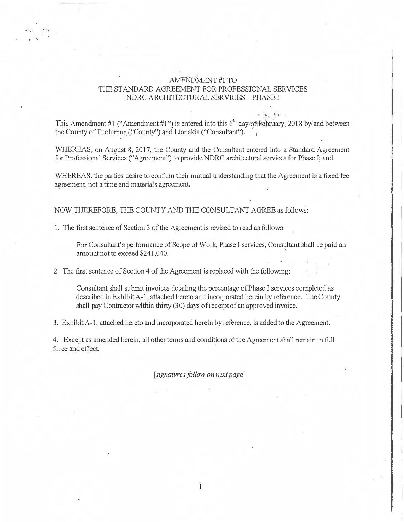## AMENDMENT#1TO THE STANDARD AGREEMENT FOR PROFESSIONAL SERVICES NDRC ARCHITECTURAL SERVICES -PHASE I

This Amendment #1 ("Amendment #1") is entered into this  $6^{th}$  day of February, 2018 by and between the County of Tuolumne ("County") and Lionalds ("Consultant").

WHEREAS, on August 8, 2017, the County and the Consultant entered into a Standard Agreement for Professional Services ("Agreement") to provide NDRC architectural services for Phase I; and

WHEREAS, the parties desire to confirm their mutual understanding that the Agreement is a fixed fee agreement, not a time and materials agreement.

NOW THEREFORE, THE COUNTY AND THE CONSULTANT AGREE as follows:

1. The first sentence of Section 3 of the Agreement is revised to read as follows:

,.., ... - ... ,

• I • •.

For Consultant's performance of Scope of Work, Phase I services, Consultant shall be paid an amount not to exceed \$241,040.

2. The first sentence of Section 4 of the Agreement is replaced with the following:

Consultant shall submit invoices detailing the percentage of Phase I services completed as described in Exhibit A-1, attached hereto and incorporated herein by reference. The County shall pay Contractor within thirty (30) days of receipt of an approved invoice.

3. Exhibit A-1, attached hereto and incorporated herein by reference, is added to the Agreement.

4. Except as amended herein, all other terms and conditions of the Agreement shall remain in full force and effect.

[signatures follow on next page]

 $\,1$